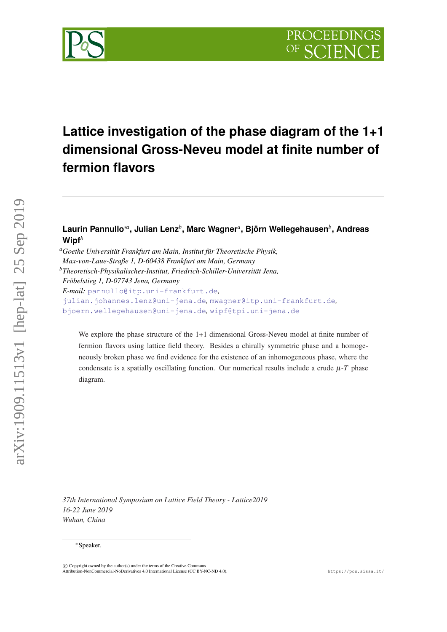



# **Lattice investigation of the phase diagram of the 1+1 dimensional Gross-Neveu model at finite number of fermion flavors**

# **Laurin Pannullo**∗*<sup>a</sup>* **, Julian Lenz***<sup>b</sup>* **, Marc Wagner***<sup>a</sup>* **, Björn Wellegehausen***<sup>b</sup>* **, Andreas Wipf***<sup>b</sup>*

*<sup>a</sup>Goethe Universität Frankfurt am Main, Institut für Theoretische Physik, Max-von-Laue-Straße 1, D-60438 Frankfurt am Main, Germany <sup>b</sup>Theoretisch-Physikalisches-Institut, Friedrich-Schiller-Universität Jena, Fröbelstieg 1, D-07743 Jena, Germany E-mail:* [pannullo@itp.uni-frankfurt.de](mailto:pannullo@itp.uni-frankfurt.de)*,*

[julian.johannes.lenz@uni-jena.de](mailto:julian.johannes.lenz@uni-jena.de)*,* [mwagner@itp.uni-frankfurt.de](mailto:mwagner@itp.uni-frankfurt.de)*,* [bjoern.wellegehausen@uni-jena.de](mailto:bjoern.wellegehausen@uni-jena.de)*,* [wipf@tpi.uni-jena.de](mailto:wipf@tpi.uni-jena.de)

We explore the phase structure of the 1+1 dimensional Gross-Neveu model at finite number of fermion flavors using lattice field theory. Besides a chirally symmetric phase and a homogeneously broken phase we find evidence for the existence of an inhomogeneous phase, where the condensate is a spatially oscillating function. Our numerical results include a crude  $\mu$ -*T* phase diagram.

*37th International Symposium on Lattice Field Theory - Lattice2019 16-22 June 2019 Wuhan, China*

<sup>∗</sup>Speaker.

 $\overline{c}$  Copyright owned by the author(s) under the terms of the Creative Common Attribution-NonCommercial-NoDerivatives 4.0 International License (CC BY-NC-ND 4.0). https://pos.sissa.it/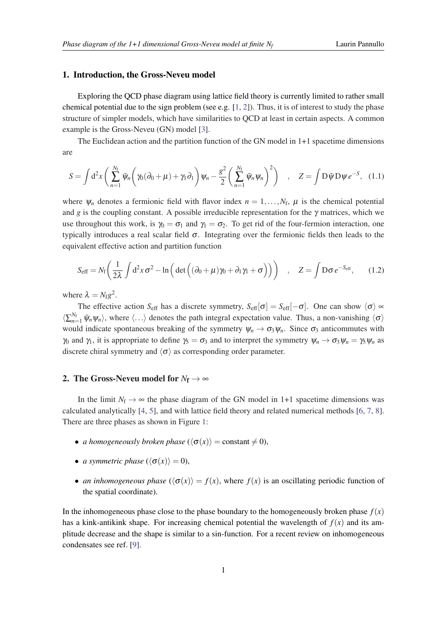#### <span id="page-1-0"></span>1. Introduction, the Gross-Neveu model

Exploring the QCD phase diagram using lattice field theory is currently limited to rather small chemical potential due to the sign problem (see e.g.  $[1, 2]$  $[1, 2]$  $[1, 2]$  $[1, 2]$ ). Thus, it is of interest to study the phase structure of simpler models, which have similarities to QCD at least in certain aspects. A common example is the Gross-Neveu (GN) model [\[3\]](#page-6-0).

The Euclidean action and the partition function of the GN model in 1+1 spacetime dimensions are

$$
S = \int d^2x \left( \sum_{n=1}^{N_f} \bar{\psi}_n \left( \gamma_0 (\partial_0 + \mu) + \gamma_1 \partial_1 \right) \psi_n - \frac{g^2}{2} \left( \sum_{n=1}^{N_f} \bar{\psi}_n \psi_n \right)^2 \right) , \quad Z = \int D\bar{\psi} D\psi e^{-S}, \quad (1.1)
$$

where  $\psi_n$  denotes a fermionic field with flavor index  $n = 1, \dots, N_f$ ,  $\mu$  is the chemical potential and *g* is the coupling constant. A possible irreducible representation for the  $\gamma$  matrices, which we use throughout this work, is  $\gamma_0 = \sigma_1$  and  $\gamma_1 = \sigma_2$ . To get rid of the four-fermion interaction, one typically introduces a real scalar field  $\sigma$ . Integrating over the fermionic fields then leads to the equivalent effective action and partition function

$$
S_{\text{eff}} = N_{\text{f}} \left( \frac{1}{2\lambda} \int d^2 x \, \sigma^2 - \ln \left( \det \left( (\partial_0 + \mu) \gamma_0 + \partial_1 \gamma_1 + \sigma \right) \right) \right) \quad , \quad Z = \int \mathcal{D} \sigma \, e^{-S_{\text{eff}}}, \tag{1.2}
$$

where  $\lambda = N_{\text{f}}g^2$ .

The effective action  $S_{\text{eff}}$  has a discrete symmetry,  $S_{\text{eff}}[\sigma] = S_{\text{eff}}[-\sigma]$ . One can show  $\langle \sigma \rangle \propto$  $\langle \sum_{n=1}^{N_f} \bar{\psi}_n \psi_n \rangle$ , where  $\langle ... \rangle$  denotes the path integral expectation value. Thus, a non-vanishing  $\langle \sigma \rangle$ would indicate spontaneous breaking of the symmetry  $\psi_n \to \sigma_3 \psi_n$ . Since  $\sigma_3$  anticommutes with  $\gamma_0$  and  $\gamma_1$ , it is appropriate to define  $\gamma_5 = \sigma_3$  and to interpret the symmetry  $\psi_n \to \sigma_3 \psi_n = \gamma_5 \psi_n$  as discrete chiral symmetry and  $\langle \sigma \rangle$  as corresponding order parameter.

# 2. The Gross-Neveu model for  $N_f \rightarrow \infty$

In the limit  $N_f \rightarrow \infty$  the phase diagram of the GN model in 1+1 spacetime dimensions was calculated analytically [[4](#page-6-0), [5](#page-6-0)], and with lattice field theory and related numerical methods [\[6](#page-6-0), [7,](#page-6-0) [8\]](#page-6-0). There are three phases as shown in Figure [1:](#page-2-0)

- *a homogeneously broken phase*  $({\langle \sigma(x) \rangle} = constant \neq 0)$ ,
- *a symmetric phase*  $({\langle \sigma(x) \rangle} = 0)$ ,
- *an inhomogeneous phase*  $({\langle \sigma(x) \rangle} = f(x)$ , where  $f(x)$  is an oscillating periodic function of the spatial coordinate).

In the inhomogeneous phase close to the phase boundary to the homogeneously broken phase  $f(x)$ has a kink-antikink shape. For increasing chemical potential the wavelength of  $f(x)$  and its amplitude decrease and the shape is similar to a sin-function. For a recent review on inhomogeneous condensates see ref. [[9](#page-6-0)].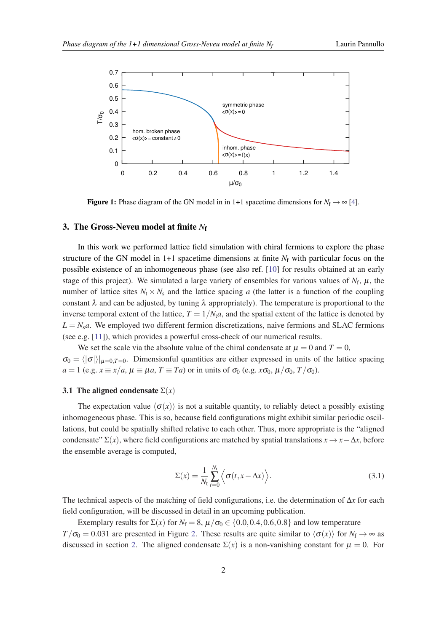<span id="page-2-0"></span>

**Figure 1:** Phase diagram of the GN model in in 1+1 spacetime dimensions for  $N_f \rightarrow \infty$  [\[4](#page-6-0)].

#### 3. The Gross-Neveu model at finite *N*<sup>f</sup>

In this work we performed lattice field simulation with chiral fermions to explore the phase structure of the GN model in  $1+1$  spacetime dimensions at finite  $N_f$  with particular focus on the possible existence of an inhomogeneous phase (see also ref. [[10\]](#page-6-0) for results obtained at an early stage of this project). We simulated a large variety of ensembles for various values of  $N_f$ ,  $\mu$ , the number of lattice sites  $N_t \times N_s$  and the lattice spacing *a* (the latter is a function of the coupling constant  $\lambda$  and can be adjusted, by tuning  $\lambda$  appropriately). The temperature is proportional to the inverse temporal extent of the lattice,  $T = 1/N_t a$ , and the spatial extent of the lattice is denoted by  $L = N<sub>s</sub>a$ . We employed two different fermion discretizations, naive fermions and SLAC fermions (see e.g. [[11\]](#page-6-0)), which provides a powerful cross-check of our numerical results.

We set the scale via the absolute value of the chiral condensate at  $\mu = 0$  and  $T = 0$ ,  $\sigma_0 = \langle |\sigma| \rangle |_{u=0,T=0}$ . Dimensionful quantities are either expressed in units of the lattice spacing  $a = 1$  (e.g.  $x \equiv x/a$ ,  $\mu \equiv \mu a$ ,  $T \equiv Ta$ ) or in units of  $\sigma_0$  (e.g.  $x\sigma_0$ ,  $\mu/\sigma_0$ ,  $T/\sigma_0$ ).

#### 3.1 The aligned condensate  $\Sigma(x)$

The expectation value  $\langle \sigma(x) \rangle$  is not a suitable quantity, to reliably detect a possibly existing inhomogeneous phase. This is so, because field configurations might exhibit similar periodic oscillations, but could be spatially shifted relative to each other. Thus, more appropriate is the "aligned condensate"  $\Sigma(x)$ , where field configurations are matched by spatial translations  $x \to x - \Delta x$ , before the ensemble average is computed,

$$
\Sigma(x) = \frac{1}{N_{\rm t}} \sum_{t=0}^{N_{\rm t}} \left\langle \sigma(t, x - \Delta x) \right\rangle.
$$
 (3.1)

The technical aspects of the matching of field configurations, i.e. the determination of ∆*x* for each field configuration, will be discussed in detail in an upcoming publication.

Exemplary results for  $\Sigma(x)$  for  $N_f = 8$ ,  $\mu/\sigma_0 \in \{0.0, 0.4, 0.6, 0.8\}$  and low temperature  $T/\sigma_0 = 0.031$  are presented in Figure [2](#page-3-0). These results are quite similar to  $\langle \sigma(x) \rangle$  for  $N_f \rightarrow \infty$  as discussed in section [2.](#page-1-0) The aligned condensate  $\Sigma(x)$  is a non-vanishing constant for  $\mu = 0$ . For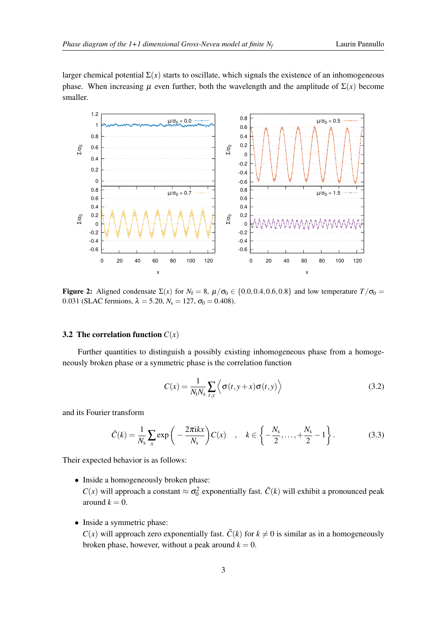<span id="page-3-0"></span>larger chemical potential  $\Sigma(x)$  starts to oscillate, which signals the existence of an inhomogeneous phase. When increasing  $\mu$  even further, both the wavelength and the amplitude of  $\Sigma(x)$  become smaller.



Figure 2: Aligned condensate  $\Sigma(x)$  for  $N_f = 8$ ,  $\mu/\sigma_0 \in \{0.0, 0.4, 0.6, 0.8\}$  and low temperature  $T/\sigma_0 =$ 0.031 (SLAC fermions,  $\lambda = 5.20, N_s = 127, \sigma_0 = 0.408$ ).

#### **3.2 The correlation function**  $C(x)$

Further quantities to distinguish a possibly existing inhomogeneous phase from a homogeneously broken phase or a symmetric phase is the correlation function

$$
C(x) = \frac{1}{N_t N_s} \sum_{t,y} \left\langle \sigma(t, y + x) \sigma(t, y) \right\rangle
$$
\n(3.2)

and its Fourier transform

$$
\tilde{C}(k) = \frac{1}{N_s} \sum_{x} \exp\left(-\frac{2\pi i kx}{N_s}\right) C(x) \quad , \quad k \in \left\{-\frac{N_s}{2}, \dots, +\frac{N_s}{2} - 1\right\}.
$$
 (3.3)

Their expected behavior is as follows:

• Inside a homogeneously broken phase:

*C*(*x*) will approach a constant  $\approx \sigma_0^2$  exponentially fast.  $\tilde{C}(k)$  will exhibit a pronounced peak around  $k = 0$ .

• Inside a symmetric phase:

 $C(x)$  will approach zero exponentially fast.  $\tilde{C}(k)$  for  $k \neq 0$  is similar as in a homogeneously broken phase, however, without a peak around  $k = 0$ .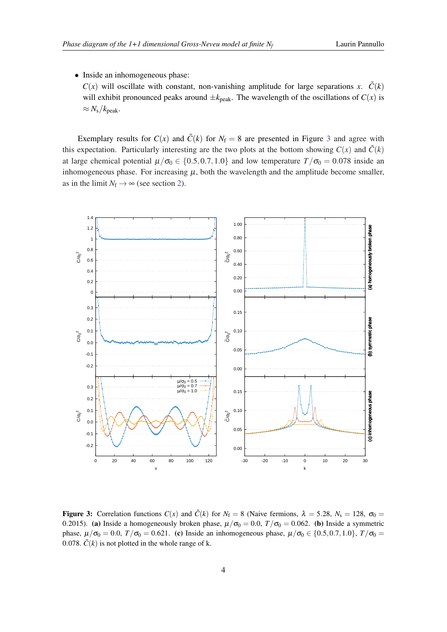<span id="page-4-0"></span>• Inside an inhomogeneous phase:

 $C(x)$  will oscillate with constant, non-vanishing amplitude for large separations *x*.  $\tilde{C}(k)$ will exhibit pronounced peaks around  $\pm k_{\text{peak}}$ . The wavelength of the oscillations of  $C(x)$  is  $\approx N_{\rm s}/k_{\rm peak}.$ 

Exemplary results for  $C(x)$  and  $\tilde{C}(k)$  for  $N_f = 8$  are presented in Figure 3 and agree with this expectation. Particularly interesting are the two plots at the bottom showing  $C(x)$  and  $\tilde{C}(k)$ at large chemical potential  $\mu/\sigma_0 \in \{0.5, 0.7, 1.0\}$  and low temperature  $T/\sigma_0 = 0.078$  inside an inhomogeneous phase. For increasing  $\mu$ , both the wavelength and the amplitude become smaller, as in the limit  $N_f \rightarrow \infty$  (see section [2\)](#page-1-0).



**Figure 3:** Correlation functions  $C(x)$  and  $\tilde{C}(k)$  for  $N_f = 8$  (Naive fermions,  $\lambda = 5.28$ ,  $N_s = 128$ ,  $\sigma_0 =$ 0.2015). (a) Inside a homogeneously broken phase,  $\mu/\sigma_0 = 0.0$ ,  $T/\sigma_0 = 0.062$ . (b) Inside a symmetric phase,  $\mu/\sigma_0 = 0.0$ ,  $T/\sigma_0 = 0.621$ . (c) Inside an inhomogeneous phase,  $\mu/\sigma_0 \in \{0.5, 0.7, 1.0\}$ ,  $T/\sigma_0 =$ 0.078.  $\tilde{C}(k)$  is not plotted in the whole range of k.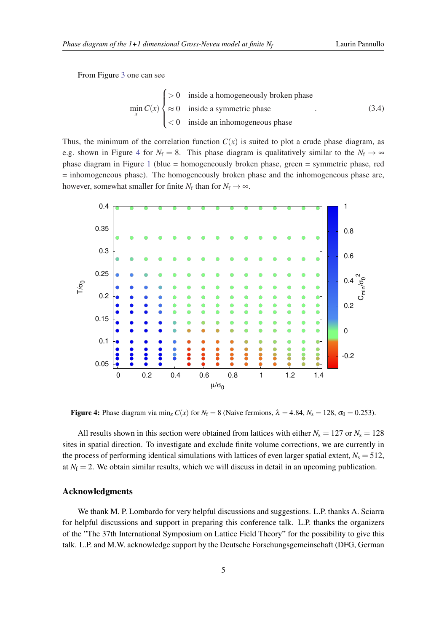From Figure [3](#page-4-0) one can see

$$
\min_{x} C(x) \begin{cases} > 0 & \text{inside a homogeneously broken phase} \\ \approx 0 & \text{inside a symmetric phase} \\ < 0 & \text{inside an inhomogeneous phase} \end{cases}
$$
 (3.4)

Thus, the minimum of the correlation function  $C(x)$  is suited to plot a crude phase diagram, as e.g. shown in Figure 4 for  $N_f = 8$ . This phase diagram is qualitatively similar to the  $N_f \rightarrow \infty$ phase diagram in Figure [1](#page-2-0) (blue = homogeneously broken phase, green = symmetric phase, red = inhomogeneous phase). The homogeneously broken phase and the inhomogeneous phase are, however, somewhat smaller for finite  $N_f$  than for  $N_f \to \infty$ .



Figure 4: Phase diagram via min<sub>*x*</sub>  $C(x)$  for  $N_f = 8$  (Naive fermions,  $\lambda = 4.84$ ,  $N_s = 128$ ,  $\sigma_0 = 0.253$ ).

All results shown in this section were obtained from lattices with either  $N_s = 127$  or  $N_s = 128$ sites in spatial direction. To investigate and exclude finite volume corrections, we are currently in the process of performing identical simulations with lattices of even larger spatial extent,  $N_s = 512$ , at  $N_f = 2$ . We obtain similar results, which we will discuss in detail in an upcoming publication.

### Acknowledgments

We thank M. P. Lombardo for very helpful discussions and suggestions. L.P. thanks A. Sciarra for helpful discussions and support in preparing this conference talk. L.P. thanks the organizers of the "The 37th International Symposium on Lattice Field Theory" for the possibility to give this talk. L.P. and M.W. acknowledge support by the Deutsche Forschungsgemeinschaft (DFG, German